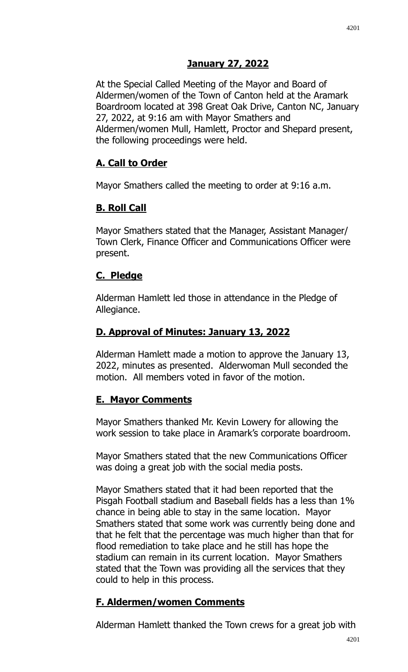At the Special Called Meeting of the Mayor and Board of Aldermen/women of the Town of Canton held at the Aramark Boardroom located at 398 Great Oak Drive, Canton NC, January 27, 2022, at 9:16 am with Mayor Smathers and Aldermen/women Mull, Hamlett, Proctor and Shepard present, the following proceedings were held.

## **A. Call to Order**

Mayor Smathers called the meeting to order at 9:16 a.m.

# **B. Roll Call**

Mayor Smathers stated that the Manager, Assistant Manager/ Town Clerk, Finance Officer and Communications Officer were present.

## **C. Pledge**

Alderman Hamlett led those in attendance in the Pledge of Allegiance.

## **D. Approval of Minutes: January 13, 2022**

Alderman Hamlett made a motion to approve the January 13, 2022, minutes as presented. Alderwoman Mull seconded the motion. All members voted in favor of the motion.

## **E. Mayor Comments**

Mayor Smathers thanked Mr. Kevin Lowery for allowing the work session to take place in Aramark's corporate boardroom.

Mayor Smathers stated that the new Communications Officer was doing a great job with the social media posts.

Mayor Smathers stated that it had been reported that the Pisgah Football stadium and Baseball fields has a less than 1% chance in being able to stay in the same location. Mayor Smathers stated that some work was currently being done and that he felt that the percentage was much higher than that for flood remediation to take place and he still has hope the stadium can remain in its current location. Mayor Smathers stated that the Town was providing all the services that they could to help in this process.

## **F. Aldermen/women Comments**

Alderman Hamlett thanked the Town crews for a great job with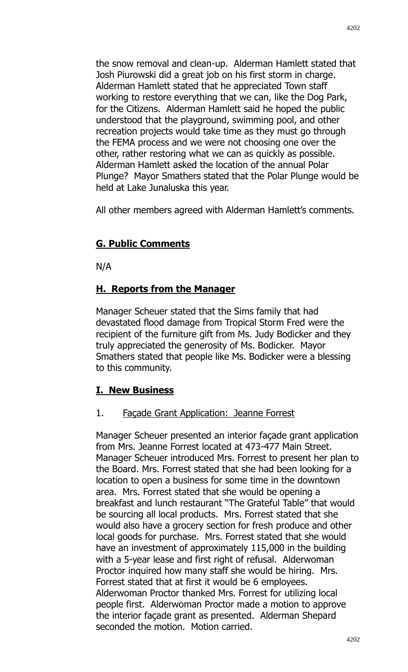the snow removal and clean-up. Alderman Hamlett stated that Josh Piurowski did a great job on his first storm in charge. Alderman Hamlett stated that he appreciated Town staff working to restore everything that we can, like the Dog Park, for the Citizens. Alderman Hamlett said he hoped the public understood that the playground, swimming pool, and other recreation projects would take time as they must go through the FEMA process and we were not choosing one over the other, rather restoring what we can as quickly as possible. Alderman Hamlett asked the location of the annual Polar Plunge? Mayor Smathers stated that the Polar Plunge would be held at Lake Junaluska this year.

All other members agreed with Alderman Hamlett's comments.

### **G. Public Comments**

N/A

### **H. Reports from the Manager**

Manager Scheuer stated that the Sims family that had devastated flood damage from Tropical Storm Fred were the recipient of the furniture gift from Ms. Judy Bodicker and they truly appreciated the generosity of Ms. Bodicker. Mayor Smathers stated that people like Ms. Bodicker were a blessing to this community.

### **I. New Business**

### 1. Façade Grant Application: Jeanne Forrest

Manager Scheuer presented an interior façade grant application from Mrs. Jeanne Forrest located at 473-477 Main Street. Manager Scheuer introduced Mrs. Forrest to present her plan to the Board. Mrs. Forrest stated that she had been looking for a location to open a business for some time in the downtown area. Mrs. Forrest stated that she would be opening a breakfast and lunch restaurant "The Grateful Table" that would be sourcing all local products. Mrs. Forrest stated that she would also have a grocery section for fresh produce and other local goods for purchase. Mrs. Forrest stated that she would have an investment of approximately 115,000 in the building with a 5-year lease and first right of refusal. Alderwoman Proctor inquired how many staff she would be hiring. Mrs. Forrest stated that at first it would be 6 employees. Alderwoman Proctor thanked Mrs. Forrest for utilizing local people first. Alderwoman Proctor made a motion to approve the interior façade grant as presented. Alderman Shepard seconded the motion. Motion carried.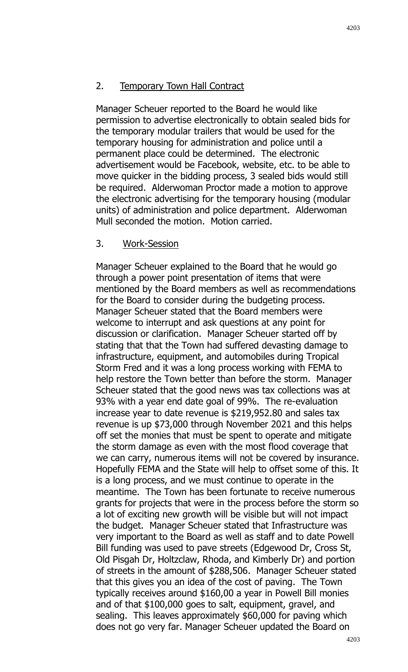#### 2. Temporary Town Hall Contract

Manager Scheuer reported to the Board he would like permission to advertise electronically to obtain sealed bids for the temporary modular trailers that would be used for the temporary housing for administration and police until a permanent place could be determined. The electronic advertisement would be Facebook, website, etc. to be able to move quicker in the bidding process, 3 sealed bids would still be required. Alderwoman Proctor made a motion to approve the electronic advertising for the temporary housing (modular units) of administration and police department. Alderwoman Mull seconded the motion. Motion carried.

#### 3. Work-Session

Manager Scheuer explained to the Board that he would go through a power point presentation of items that were mentioned by the Board members as well as recommendations for the Board to consider during the budgeting process. Manager Scheuer stated that the Board members were welcome to interrupt and ask questions at any point for discussion or clarification. Manager Scheuer started off by stating that that the Town had suffered devasting damage to infrastructure, equipment, and automobiles during Tropical Storm Fred and it was a long process working with FEMA to help restore the Town better than before the storm. Manager Scheuer stated that the good news was tax collections was at 93% with a year end date goal of 99%. The re-evaluation increase year to date revenue is \$219,952.80 and sales tax revenue is up \$73,000 through November 2021 and this helps off set the monies that must be spent to operate and mitigate the storm damage as even with the most flood coverage that we can carry, numerous items will not be covered by insurance. Hopefully FEMA and the State will help to offset some of this. It is a long process, and we must continue to operate in the meantime. The Town has been fortunate to receive numerous grants for projects that were in the process before the storm so a lot of exciting new growth will be visible but will not impact the budget. Manager Scheuer stated that Infrastructure was very important to the Board as well as staff and to date Powell Bill funding was used to pave streets (Edgewood Dr, Cross St, Old Pisgah Dr, Holtzclaw, Rhoda, and Kimberly Dr) and portion of streets in the amount of \$288,506. Manager Scheuer stated that this gives you an idea of the cost of paving. The Town typically receives around \$160,00 a year in Powell Bill monies and of that \$100,000 goes to salt, equipment, gravel, and sealing. This leaves approximately \$60,000 for paving which does not go very far. Manager Scheuer updated the Board on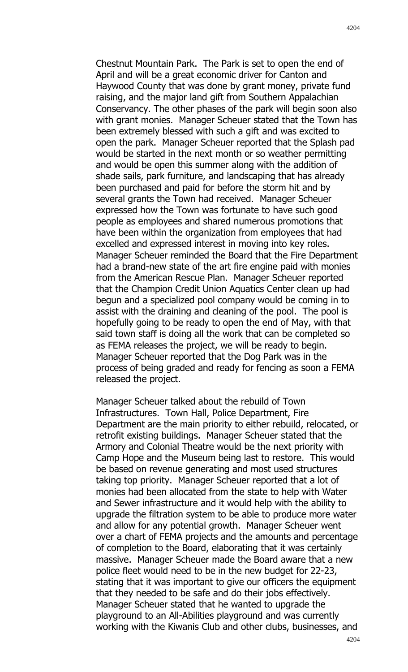Chestnut Mountain Park. The Park is set to open the end of April and will be a great economic driver for Canton and Haywood County that was done by grant money, private fund raising, and the major land gift from Southern Appalachian Conservancy. The other phases of the park will begin soon also with grant monies. Manager Scheuer stated that the Town has been extremely blessed with such a gift and was excited to open the park. Manager Scheuer reported that the Splash pad would be started in the next month or so weather permitting and would be open this summer along with the addition of shade sails, park furniture, and landscaping that has already been purchased and paid for before the storm hit and by several grants the Town had received. Manager Scheuer expressed how the Town was fortunate to have such good people as employees and shared numerous promotions that have been within the organization from employees that had excelled and expressed interest in moving into key roles. Manager Scheuer reminded the Board that the Fire Department had a brand-new state of the art fire engine paid with monies from the American Rescue Plan. Manager Scheuer reported that the Champion Credit Union Aquatics Center clean up had begun and a specialized pool company would be coming in to assist with the draining and cleaning of the pool. The pool is hopefully going to be ready to open the end of May, with that said town staff is doing all the work that can be completed so as FEMA releases the project, we will be ready to begin. Manager Scheuer reported that the Dog Park was in the process of being graded and ready for fencing as soon a FEMA released the project.

Manager Scheuer talked about the rebuild of Town Infrastructures. Town Hall, Police Department, Fire Department are the main priority to either rebuild, relocated, or retrofit existing buildings. Manager Scheuer stated that the Armory and Colonial Theatre would be the next priority with Camp Hope and the Museum being last to restore. This would be based on revenue generating and most used structures taking top priority. Manager Scheuer reported that a lot of monies had been allocated from the state to help with Water and Sewer infrastructure and it would help with the ability to upgrade the filtration system to be able to produce more water and allow for any potential growth. Manager Scheuer went over a chart of FEMA projects and the amounts and percentage of completion to the Board, elaborating that it was certainly massive. Manager Scheuer made the Board aware that a new police fleet would need to be in the new budget for 22-23, stating that it was important to give our officers the equipment that they needed to be safe and do their jobs effectively. Manager Scheuer stated that he wanted to upgrade the playground to an All-Abilities playground and was currently working with the Kiwanis Club and other clubs, businesses, and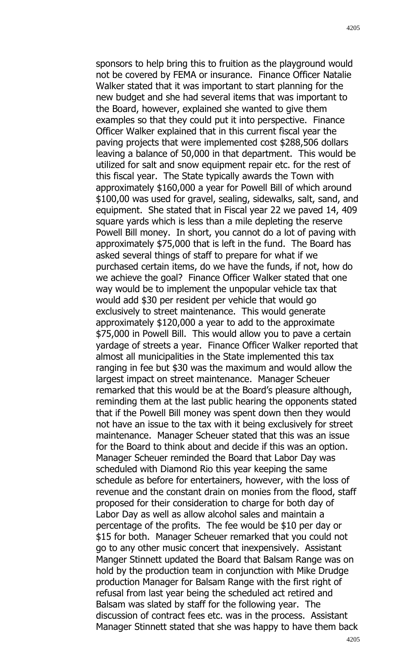sponsors to help bring this to fruition as the playground would not be covered by FEMA or insurance. Finance Officer Natalie Walker stated that it was important to start planning for the new budget and she had several items that was important to the Board, however, explained she wanted to give them examples so that they could put it into perspective. Finance Officer Walker explained that in this current fiscal year the paving projects that were implemented cost \$288,506 dollars leaving a balance of 50,000 in that department. This would be utilized for salt and snow equipment repair etc. for the rest of this fiscal year. The State typically awards the Town with approximately \$160,000 a year for Powell Bill of which around \$100,00 was used for gravel, sealing, sidewalks, salt, sand, and equipment. She stated that in Fiscal year 22 we paved 14, 409 square yards which is less than a mile depleting the reserve Powell Bill money. In short, you cannot do a lot of paving with approximately \$75,000 that is left in the fund. The Board has asked several things of staff to prepare for what if we purchased certain items, do we have the funds, if not, how do we achieve the goal? Finance Officer Walker stated that one way would be to implement the unpopular vehicle tax that would add \$30 per resident per vehicle that would go exclusively to street maintenance. This would generate approximately \$120,000 a year to add to the approximate \$75,000 in Powell Bill. This would allow you to pave a certain yardage of streets a year. Finance Officer Walker reported that almost all municipalities in the State implemented this tax ranging in fee but \$30 was the maximum and would allow the largest impact on street maintenance. Manager Scheuer remarked that this would be at the Board's pleasure although, reminding them at the last public hearing the opponents stated that if the Powell Bill money was spent down then they would not have an issue to the tax with it being exclusively for street maintenance. Manager Scheuer stated that this was an issue for the Board to think about and decide if this was an option. Manager Scheuer reminded the Board that Labor Day was scheduled with Diamond Rio this year keeping the same schedule as before for entertainers, however, with the loss of revenue and the constant drain on monies from the flood, staff proposed for their consideration to charge for both day of Labor Day as well as allow alcohol sales and maintain a percentage of the profits. The fee would be \$10 per day or \$15 for both. Manager Scheuer remarked that you could not go to any other music concert that inexpensively. Assistant Manger Stinnett updated the Board that Balsam Range was on hold by the production team in conjunction with Mike Drudge production Manager for Balsam Range with the first right of refusal from last year being the scheduled act retired and Balsam was slated by staff for the following year. The discussion of contract fees etc. was in the process. Assistant Manager Stinnett stated that she was happy to have them back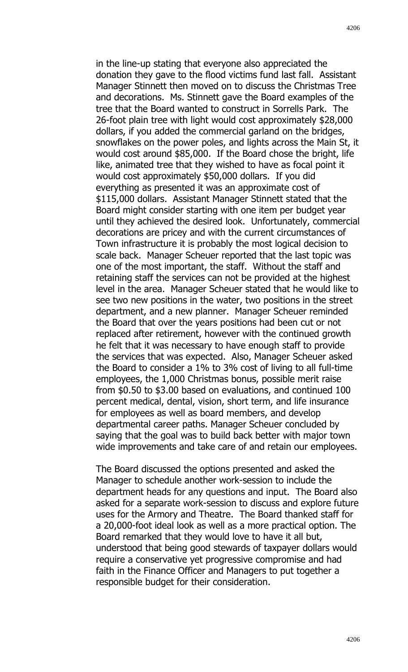in the line-up stating that everyone also appreciated the donation they gave to the flood victims fund last fall. Assistant Manager Stinnett then moved on to discuss the Christmas Tree and decorations. Ms. Stinnett gave the Board examples of the tree that the Board wanted to construct in Sorrells Park. The 26-foot plain tree with light would cost approximately \$28,000 dollars, if you added the commercial garland on the bridges, snowflakes on the power poles, and lights across the Main St, it would cost around \$85,000. If the Board chose the bright, life like, animated tree that they wished to have as focal point it would cost approximately \$50,000 dollars. If you did everything as presented it was an approximate cost of \$115,000 dollars. Assistant Manager Stinnett stated that the Board might consider starting with one item per budget year until they achieved the desired look. Unfortunately, commercial decorations are pricey and with the current circumstances of Town infrastructure it is probably the most logical decision to scale back. Manager Scheuer reported that the last topic was one of the most important, the staff. Without the staff and retaining staff the services can not be provided at the highest level in the area. Manager Scheuer stated that he would like to see two new positions in the water, two positions in the street department, and a new planner. Manager Scheuer reminded the Board that over the years positions had been cut or not replaced after retirement, however with the continued growth he felt that it was necessary to have enough staff to provide the services that was expected. Also, Manager Scheuer asked the Board to consider a 1% to 3% cost of living to all full-time employees, the 1,000 Christmas bonus, possible merit raise from \$0.50 to \$3.00 based on evaluations, and continued 100 percent medical, dental, vision, short term, and life insurance for employees as well as board members, and develop departmental career paths. Manager Scheuer concluded by saying that the goal was to build back better with major town wide improvements and take care of and retain our employees.

The Board discussed the options presented and asked the Manager to schedule another work-session to include the department heads for any questions and input. The Board also asked for a separate work-session to discuss and explore future uses for the Armory and Theatre. The Board thanked staff for a 20,000-foot ideal look as well as a more practical option. The Board remarked that they would love to have it all but, understood that being good stewards of taxpayer dollars would require a conservative yet progressive compromise and had faith in the Finance Officer and Managers to put together a responsible budget for their consideration.